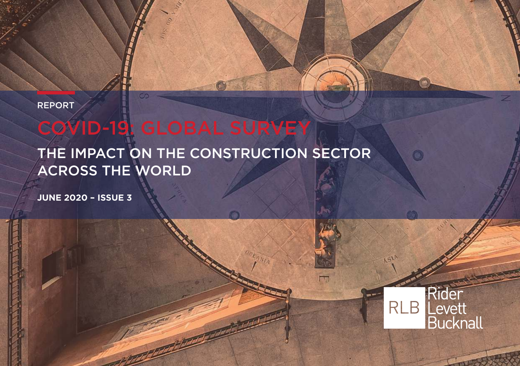REPORT

# COVID-19: GLOBAL SURVEY

### THE IMPACT ON THE CONSTRUCTION SECTOR ACROSS THE WORLD

**JUNE 2020 – ISSUE 3**



 $\bullet$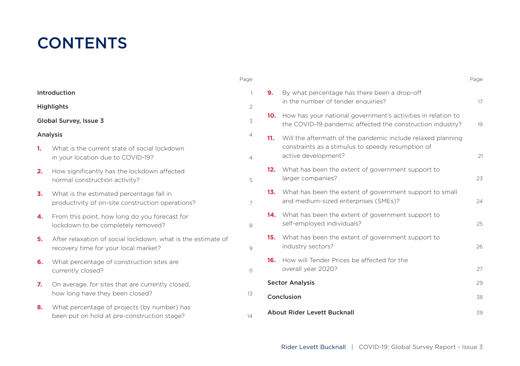### **CONTENTS**

|                        |                                                                                                      | Page           |                                      |                                                                                                                               | Page |
|------------------------|------------------------------------------------------------------------------------------------------|----------------|--------------------------------------|-------------------------------------------------------------------------------------------------------------------------------|------|
| Introduction           |                                                                                                      |                | 9.                                   | By what percentage has there been a drop-off<br>in the number of tender enquiries?                                            |      |
| <b>Highlights</b>      |                                                                                                      | $\overline{2}$ |                                      |                                                                                                                               | 17   |
| Global Survey, Issue 3 |                                                                                                      | 3              |                                      | 10. How has your national government's activities in relation to<br>the COVID-19 pandemic affected the construction industry? | 19   |
| Analysis               |                                                                                                      | 4              |                                      | 11. Will the aftermath of the pandemic include relaxed planning                                                               |      |
| 1.                     | What is the current state of social lockdown<br>in your location due to COVID-19?                    | 4              |                                      | constraints as a stimulus to speedy resumption of<br>active development?                                                      | 21   |
| 2.                     | How significantly has the lockdown affected<br>normal construction activity?                         | 5.             |                                      | 12. What has been the extent of government support to<br>larger companies?                                                    | 23   |
| 3.                     | What is the estimated percentage fall in<br>productivity of on-site construction operations?         | $\overline{7}$ |                                      | 13. What has been the extent of government support to small<br>and medium-sized enterprises (SMEs)?                           | 24   |
| 4.                     | From this point, how long do you forecast for<br>lockdown to be completely removed?                  | 8              |                                      | 14. What has been the extent of government support to<br>self-employed individuals?                                           | 25   |
| 5.                     | After relaxation of social lockdown, what is the estimate of<br>recovery time for your local market? | 9              |                                      | 15. What has been the extent of government support to<br>industry sectors?                                                    | 26   |
| 6.                     | What percentage of construction sites are<br>currently closed?                                       | 11             |                                      | 16. How will Tender Prices be affected for the<br>overall year 2020?                                                          | 27   |
| 7.                     | On average, for sites that are currently closed.                                                     |                | <b>Sector Analysis</b><br>Conclusion |                                                                                                                               | 29   |
|                        | how long have they been closed?                                                                      | 13             |                                      |                                                                                                                               | 38   |
| 8.                     | What percentage of projects (by number) has<br>been put on hold at pre-construction stage?           | 14             |                                      | About Rider Levett Bucknall                                                                                                   | 39   |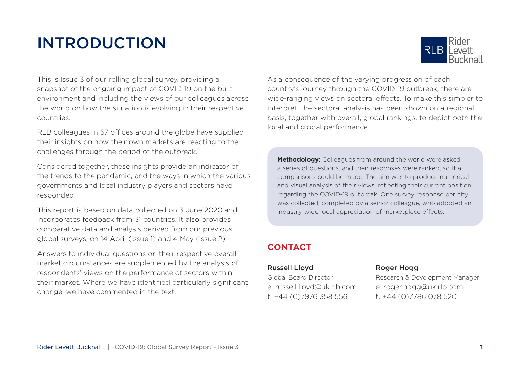## INTRODUCTION



This is Issue 3 of our rolling global survey, providing a snapshot of the ongoing impact of COVID-19 on the built environment and including the views of our colleagues across the world on how the situation is evolving in their respective countries.

RLB colleagues in 57 offices around the globe have supplied their insights on how their own markets are reacting to the challenges through the period of the outbreak.

Considered together, these insights provide an indicator of the trends to the pandemic, and the ways in which the various governments and local industry players and sectors have responded.

This report is based on data collected on 3 June 2020 and incorporates feedback from 31 countries. It also provides comparative data and analysis derived from our previous global surveys, on 14 April (Issue 1) and 4 May (Issue 2).

Answers to individual questions on their respective overall market circumstances are supplemented by the analysis of respondents' views on the performance of sectors within their market. Where we have identified particularly significant change, we have commented in the text.

As a consequence of the varying progression of each country's journey through the COVID-19 outbreak, there are wide-ranging views on sectoral effects. To make this simpler to interpret, the sectoral analysis has been shown on a regional basis, together with overall, global rankings, to depict both the local and global performance.

**Methodology:** Colleagues from around the world were asked a series of questions, and their responses were ranked, so that comparisons could be made. The aim was to produce numerical and visual analysis of their views, reflecting their current position regarding the COVID-19 outbreak. One survey response per city was collected, completed by a senior colleague, who adopted an industry-wide local appreciation of marketplace effects.

### **CONTACT**

#### Russell Lloyd Roger Hogg

t. +44 (0)7976 358 556 t. +44 (0)7786 078 520

Global Board Director Research & Development Manager e. russell.lloyd@uk.rlb.com e. roger.hogg@uk.rlb.com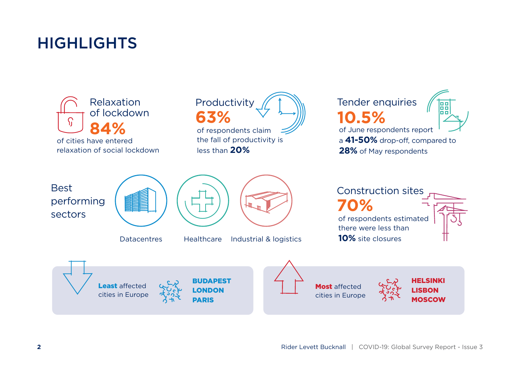### **HIGHLIGHTS**

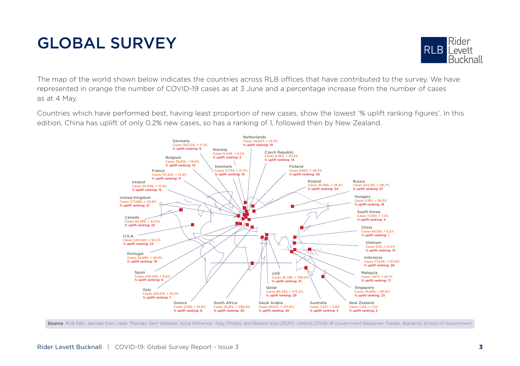# GLOBAL SURVEY



The map of the world shown below indicates the countries across RLB offices that have contributed to the survey. We have represented in orange the number of COVID-19 cases as at 3 June and a percentage increase from the number of cases as at 4 May.

Countries which have performed best, having least proportion of new cases, show the lowest '% uplift ranking figures'. In this edition, China has uplift of only 0.2% new cases, so has a ranking of 1, followed then by New Zealand.



Source: RLB R&D, derived from: Hale, Thomas, Sam Webster, Anna Petherick, Toby Phillips, and Beatriz Kira (2020). Oxford COVID-19 Government Response Tracker, Blavatnik School of Government.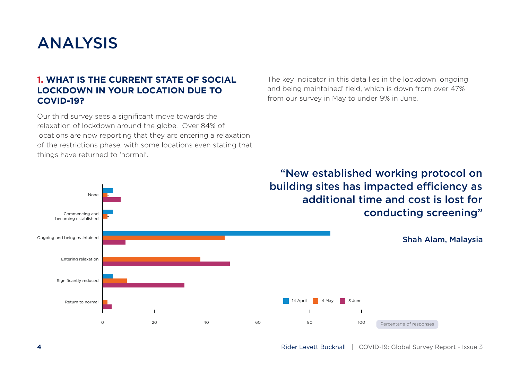### ANALYSIS

None

#### **1. WHAT IS THE CURRENT STATE OF SOCIAL LOCKDOWN IN YOUR LOCATION DUE TO COVID-19?**

Our third survey sees a significant move towards the relaxation of lockdown around the globe. Over 84% of locations are now reporting that they are entering a relaxation of the restrictions phase, with some locations even stating that things have returned to 'normal'.

The key indicator in this data lies in the lockdown 'ongoing and being maintained' field, which is down from over 47% from our survey in May to under 9% in June.

"New established working protocol on building sites has impacted efficiency as additional time and cost is lost for conducting screening"

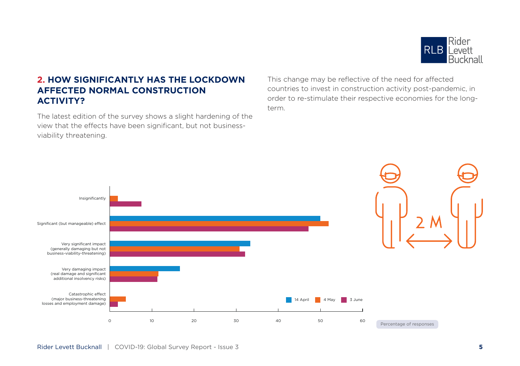

#### **2. HOW SIGNIFICANTLY HAS THE LOCKDOWN AFFECTED NORMAL CONSTRUCTION ACTIVITY?**

The latest edition of the survey shows a slight hardening of the view that the effects have been significant, but not businessviability threatening.

This change may be reflective of the need for affected countries to invest in construction activity post-pandemic, in order to re-stimulate their respective economies for the longterm.

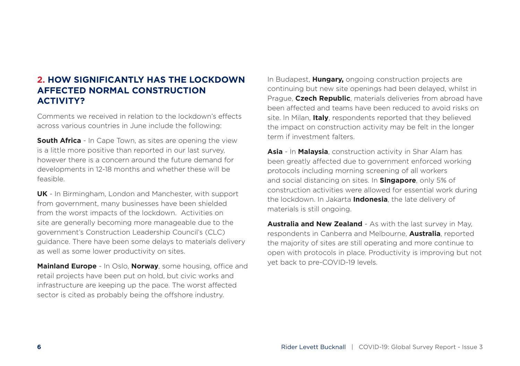#### **2. HOW SIGNIFICANTLY HAS THE LOCKDOWN AFFECTED NORMAL CONSTRUCTION ACTIVITY?**

Comments we received in relation to the lockdown's effects across various countries in June include the following:

**South Africa** - In Cape Town, as sites are opening the view is a little more positive than reported in our last survey, however there is a concern around the future demand for developments in 12-18 months and whether these will be feasible.

**UK** - In Birmingham, London and Manchester, with support from government, many businesses have been shielded from the worst impacts of the lockdown. Activities on site are generally becoming more manageable due to the government's Construction Leadership Council's (CLC) guidance. There have been some delays to materials delivery as well as some lower productivity on sites.

**Mainland Europe** - In Oslo, **Norway**, some housing, office and retail projects have been put on hold, but civic works and infrastructure are keeping up the pace. The worst affected sector is cited as probably being the offshore industry.

In Budapest, **Hungary,** ongoing construction projects are continuing but new site openings had been delayed, whilst in Prague, **Czech Republic**, materials deliveries from abroad have been affected and teams have been reduced to avoid risks on site. In Milan, **Italy**, respondents reported that they believed the impact on construction activity may be felt in the longer term if investment falters.

**Asia** - In **Malaysia**, construction activity in Shar Alam has been greatly affected due to government enforced working protocols including morning screening of all workers and social distancing on sites. In **Singapore**, only 5% of construction activities were allowed for essential work during the lockdown. In Jakarta **Indonesia**, the late delivery of materials is still ongoing.

**Australia and New Zealand** - As with the last survey in May, respondents in Canberra and Melbourne, **Australia**, reported the majority of sites are still operating and more continue to open with protocols in place. Productivity is improving but not yet back to pre-COVID-19 levels.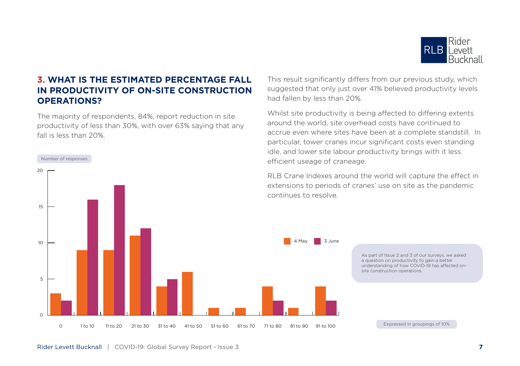

#### **3. WHAT IS THE ESTIMATED PERCENTAGE FALL IN PRODUCTIVITY OF ON-SITE CONSTRUCTION OPERATIONS?**

The majority of respondents, 84%, report reduction in site productivity of less than 30%, with over 63% saying that any fall is less than 20%.



This result significantly differs from our previous study, which suggested that only just over 41% believed productivity levels had fallen by less than 20%.

Whilst site productivity is being affected to differing extents around the world, site overhead costs have continued to accrue even where sites have been at a complete standstill. In particular, tower cranes incur significant costs even standing idle, and lower site labour productivity brings with it less efficient useage of craneage.

RLB Crane Indexes around the world will capture the effect in extensions to periods of cranes' use on site as the pandemic

As part of Issue 2 and 3 of our surveys, we asked a question on productivity to gain a better understanding of how COVID-19 has affected onsite construction operations.

Expressed in groupings of 10%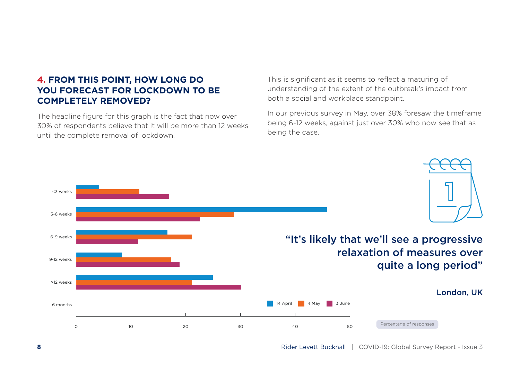#### **4. FROM THIS POINT, HOW LONG DO YOU FORECAST FOR LOCKDOWN TO BE COMPLETELY REMOVED?**

The headline figure for this graph is the fact that now over 30% of respondents believe that it will be more than 12 weeks until the complete removal of lockdown.

This is significant as it seems to reflect a maturing of understanding of the extent of the outbreak's impact from both a social and workplace standpoint.

In our previous survey in May, over 38% foresaw the timeframe being 6-12 weeks, against just over 30% who now see that as being the case.

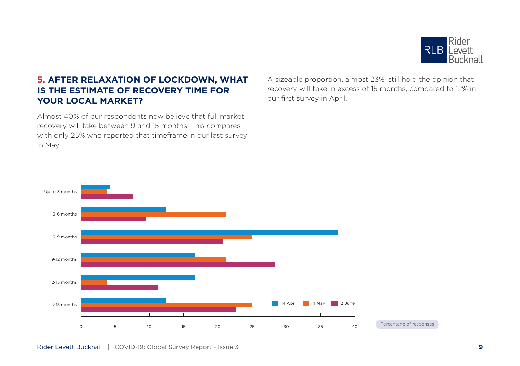

#### **5. AFTER RELAXATION OF LOCKDOWN, WHAT IS THE ESTIMATE OF RECOVERY TIME FOR YOUR LOCAL MARKET?**

Almost 40% of our respondents now believe that full market recovery will take between 9 and 15 months. This compares with only 25% who reported that timeframe in our last survey in May.

A sizeable proportion, almost 23%, still hold the opinion that recovery will take in excess of 15 months, compared to 12% in our first survey in April.

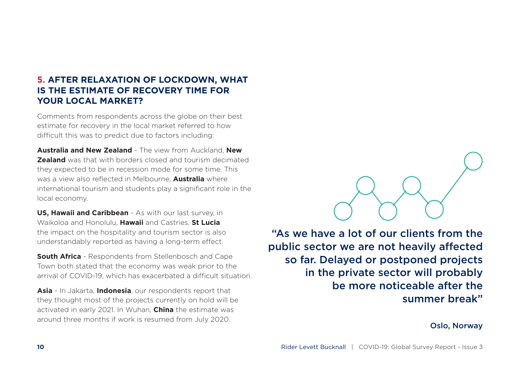#### **5. AFTER RELAXATION OF LOCKDOWN, WHAT IS THE ESTIMATE OF RECOVERY TIME FOR YOUR LOCAL MARKET?**

Comments from respondents across the globe on their best estimate for recovery in the local market referred to how difficult this was to predict due to factors including:

**Australia and New Zealand** - The view from Auckland, **New Zealand** was that with borders closed and tourism decimated they expected to be in recession mode for some time. This was a view also reflected in Melbourne, **Australia** where international tourism and students play a significant role in the local economy.

**US, Hawaii and Caribbean** - As with our last survey, in Waikoloa and Honolulu, **Hawaii** and Castries, **St Lucia** the impact on the hospitality and tourism sector is also understandably reported as having a long-term effect.

**South Africa** - Respondents from Stellenbosch and Cape Town both stated that the economy was weak prior to the arrival of COVID-19, which has exacerbated a difficult situation.

**Asia** - In Jakarta, **Indonesia**, our respondents report that they thought most of the projects currently on hold will be activated in early 2021. In Wuhan, **China** the estimate was around three months if work is resumed from July 2020.

"As we have a lot of our clients from the public sector we are not heavily affected so far. Delayed or postponed projects in the private sector will probably be more noticeable after the summer break"

Oslo, Norway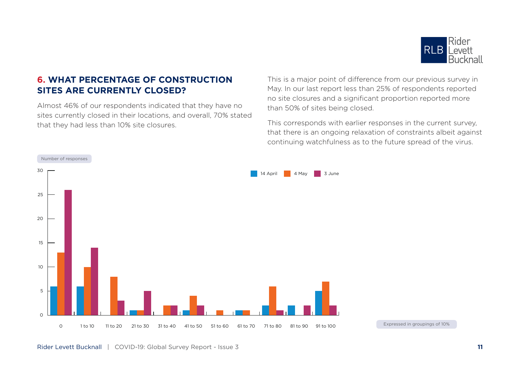

#### **6. WHAT PERCENTAGE OF CONSTRUCTION SITES ARE CURRENTLY CLOSED?**

Almost 46% of our respondents indicated that they have no sites currently closed in their locations, and overall, 70% stated that they had less than 10% site closures.

This is a major point of difference from our previous survey in May. In our last report less than 25% of respondents reported no site closures and a significant proportion reported more than 50% of sites being closed.

This corresponds with earlier responses in the current survey, that there is an ongoing relaxation of constraints albeit against continuing watchfulness as to the future spread of the virus.



Expressed in groupings of 10%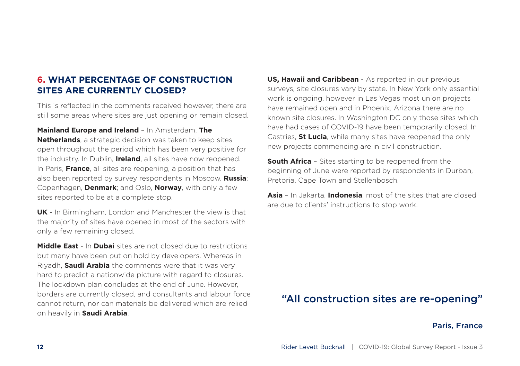#### **6. WHAT PERCENTAGE OF CONSTRUCTION SITES ARE CURRENTLY CLOSED?**

This is reflected in the comments received however, there are still some areas where sites are just opening or remain closed.

**Mainland Europe and Ireland** – In Amsterdam, **The** 

**Netherlands**, a strategic decision was taken to keep sites open throughout the period which has been very positive for the industry. In Dublin, **Ireland**, all sites have now reopened. In Paris, **France**, all sites are reopening, a position that has also been reported by survey respondents in Moscow, **Russia**; Copenhagen, **Denmark**; and Oslo, **Norway**, with only a few sites reported to be at a complete stop.

**UK** - In Birmingham, London and Manchester the view is that the majority of sites have opened in most of the sectors with only a few remaining closed.

**Middle East** - In **Dubai** sites are not closed due to restrictions but many have been put on hold by developers. Whereas in Riyadh, **Saudi Arabia** the comments were that it was very hard to predict a nationwide picture with regard to closures. The lockdown plan concludes at the end of June. However, borders are currently closed, and consultants and labour force cannot return, nor can materials be delivered which are relied on heavily in **Saudi Arabia**.

**US, Hawaii and Caribbean** - As reported in our previous surveys, site closures vary by state. In New York only essential work is ongoing, however in Las Vegas most union projects have remained open and in Phoenix, Arizona there are no known site closures. In Washington DC only those sites which have had cases of COVID-19 have been temporarily closed. In Castries, **St Lucia**, while many sites have reopened the only new projects commencing are in civil construction.

**South Africa** - Sites starting to be reopened from the beginning of June were reported by respondents in Durban, Pretoria, Cape Town and Stellenbosch.

**Asia** – In Jakarta, **Indonesia**, most of the sites that are closed are due to clients' instructions to stop work.

### "All construction sites are re-opening"

Paris, France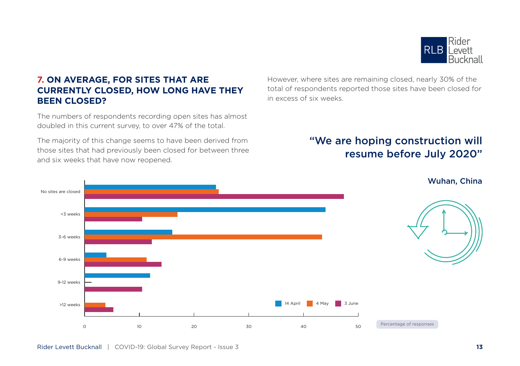

#### **7. ON AVERAGE, FOR SITES THAT ARE CURRENTLY CLOSED, HOW LONG HAVE THEY BEEN CLOSED?**

The numbers of respondents recording open sites has almost doubled in this current survey, to over 47% of the total.

The majority of this change seems to have been derived from those sites that had previously been closed for between three and six weeks that have now reopened.

However, where sites are remaining closed, nearly 30% of the total of respondents reported those sites have been closed for in excess of six weeks.

### "We are hoping construction will resume before July 2020"

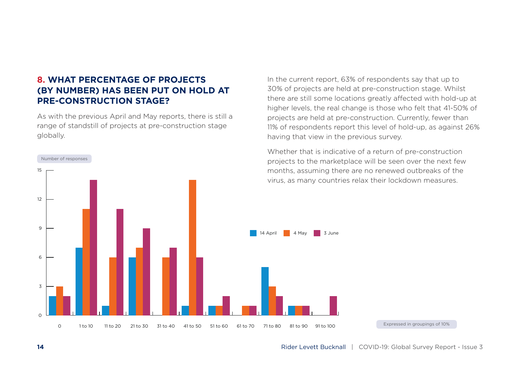#### **8. WHAT PERCENTAGE OF PROJECTS (BY NUMBER) HAS BEEN PUT ON HOLD AT PRE-CONSTRUCTION STAGE?**

As with the previous April and May reports, there is still a range of standstill of projects at pre-construction stage globally.



In the current report, 63% of respondents say that up to 30% of projects are held at pre-construction stage. Whilst there are still some locations greatly affected with hold-up at higher levels, the real change is those who felt that 41-50% of projects are held at pre-construction. Currently, fewer than 11% of respondents report this level of hold-up, as against 26% having that view in the previous survey.

Whether that is indicative of a return of pre-construction projects to the marketplace will be seen over the next few months, assuming there are no renewed outbreaks of the virus, as many countries relax their lockdown measures.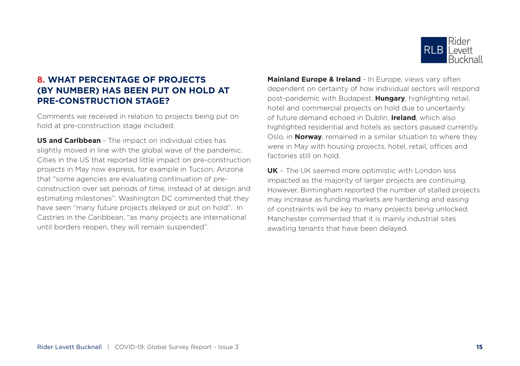

#### **8. WHAT PERCENTAGE OF PROJECTS (BY NUMBER) HAS BEEN PUT ON HOLD AT PRE-CONSTRUCTION STAGE?**

Comments we received in relation to projects being put on hold at pre-construction stage included:

**US and Caribbean** - The impact on individual cities has slightly moved in line with the global wave of the pandemic. Cities in the US that reported little impact on pre-construction projects in May now express, for example in Tucson, Arizona that "some agencies are evaluating continuation of preconstruction over set periods of time, instead of at design and estimating milestones". Washington DC commented that they have seen "many future projects delayed or put on hold". In Castries in the Caribbean, "as many projects are international until borders reopen, they will remain suspended".

**Mainland Europe & Ireland** - In Europe, views vary often dependent on certainty of how individual sectors will respond post-pandemic with Budapest, **Hungary**, highlighting retail, hotel and commercial projects on hold due to uncertainty of future demand echoed in Dublin, **Ireland**, which also highlighted residential and hotels as sectors paused currently. Oslo, in **Norway**, remained in a similar situation to where they were in May with housing projects, hotel, retail, offices and factories still on hold.

**UK** – The UK seemed more optimistic with London less impacted as the majority of larger projects are continuing. However, Birmingham reported the number of stalled projects may increase as funding markets are hardening and easing of constraints will be key to many projects being unlocked. Manchester commented that it is mainly industrial sites awaiting tenants that have been delayed.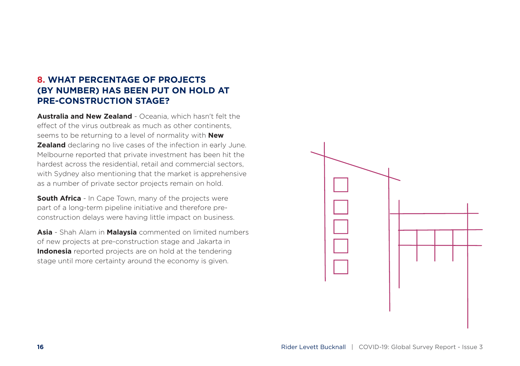#### **8. WHAT PERCENTAGE OF PROJECTS (BY NUMBER) HAS BEEN PUT ON HOLD AT PRE-CONSTRUCTION STAGE?**

**Australia and New Zealand** - Oceania, which hasn't felt the effect of the virus outbreak as much as other continents seems to be returning to a level of normality with **New Zealand** declaring no live cases of the infection in early June. Melbourne reported that private investment has been hit the hardest across the residential, retail and commercial sectors with Sydney also mentioning that the market is apprehensive as a number of private sector projects remain on hold.

**South Africa** - In Cape Town, many of the projects were part of a long-term pipeline initiative and therefore preconstruction delays were having little impact on business.

**Asia** - Shah Alam in **Malaysia** commented on limited numbers of new projects at pre-construction stage and Jakarta in **Indonesia** reported projects are on hold at the tendering stage until more certainty around the economy is given.

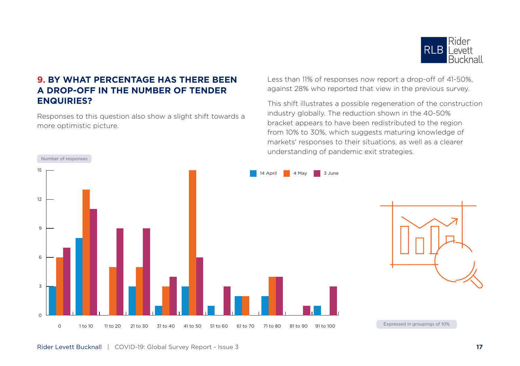

#### **9. BY WHAT PERCENTAGE HAS THERE BEEN A DROP-OFF IN THE NUMBER OF TENDER ENQUIRIES?**

Responses to this question also show a slight shift towards a more optimistic picture.

Less than 11% of responses now report a drop-off of 41-50%, against 28% who reported that view in the previous survey.

This shift illustrates a possible regeneration of the construction industry globally. The reduction shown in the 40-50% bracket appears to have been redistributed to the region from 10% to 30%, which suggests maturing knowledge of markets' responses to their situations, as well as a clearer understanding of pandemic exit strategies.

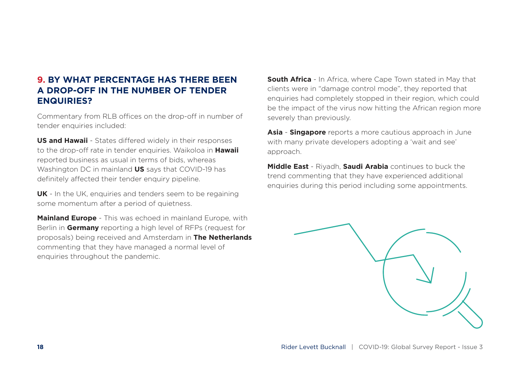#### **9. BY WHAT PERCENTAGE HAS THERE BEEN A DROP-OFF IN THE NUMBER OF TENDER ENQUIRIES?**

Commentary from RLB offices on the drop-off in number of tender enquiries included:

**US and Hawaii** - States differed widely in their responses to the drop-off rate in tender enquiries. Waikoloa in **Hawaii** reported business as usual in terms of bids, whereas Washington DC in mainland **US** says that COVID-19 has definitely affected their tender enquiry pipeline.

**UK** - In the UK, enquiries and tenders seem to be regaining some momentum after a period of quietness.

**Mainland Europe** - This was echoed in mainland Europe, with Berlin in **Germany** reporting a high level of RFPs (request for proposals) being received and Amsterdam in **The Netherlands** commenting that they have managed a normal level of enquiries throughout the pandemic.

**South Africa** - In Africa, where Cape Town stated in May that clients were in "damage control mode", they reported that enquiries had completely stopped in their region, which could be the impact of the virus now hitting the African region more severely than previously.

**Asia** - **Singapore** reports a more cautious approach in June with many private developers adopting a 'wait and see' approach.

**Middle East** - Riyadh, **Saudi Arabia** continues to buck the trend commenting that they have experienced additional enquiries during this period including some appointments.

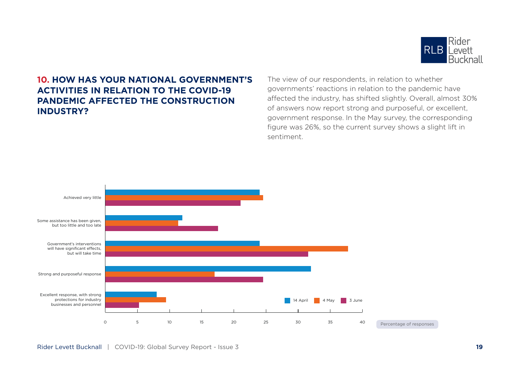

#### **10. HOW HAS YOUR NATIONAL GOVERNMENT'S ACTIVITIES IN RELATION TO THE COVID-19 PANDEMIC AFFECTED THE CONSTRUCTION INDUSTRY?**

The view of our respondents, in relation to whether governments' reactions in relation to the pandemic have affected the industry, has shifted slightly. Overall, almost 30% of answers now report strong and purposeful, or excellent, government response. In the May survey, the corresponding figure was 26%, so the current survey shows a slight lift in sentiment.

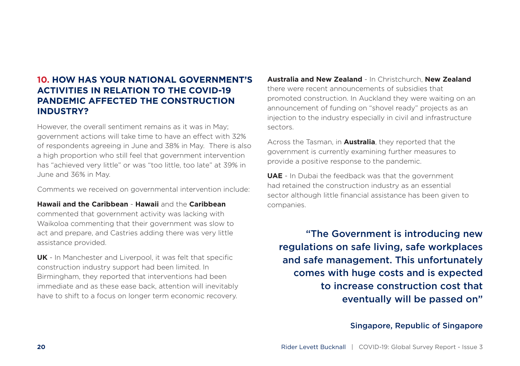#### **10. HOW HAS YOUR NATIONAL GOVERNMENT'S ACTIVITIES IN RELATION TO THE COVID-19 PANDEMIC AFFECTED THE CONSTRUCTION INDUSTRY?**

However, the overall sentiment remains as it was in May; government actions will take time to have an effect with 32% of respondents agreeing in June and 38% in May. There is also a high proportion who still feel that government intervention has "achieved very little" or was "too little, too late" at 39% in June and 36% in May.

Comments we received on governmental intervention include:

**Hawaii and the Caribbean** - **Hawaii** and the **Caribbean**

commented that government activity was lacking with Waikoloa commenting that their government was slow to act and prepare, and Castries adding there was very little assistance provided.

**UK** - In Manchester and Liverpool, it was felt that specific construction industry support had been limited. In Birmingham, they reported that interventions had been immediate and as these ease back, attention will inevitably have to shift to a focus on longer term economic recovery.

**Australia and New Zealand** - In Christchurch, **New Zealand** there were recent announcements of subsidies that promoted construction. In Auckland they were waiting on an announcement of funding on "shovel ready" projects as an injection to the industry especially in civil and infrastructure sectors.

Across the Tasman, in **Australia**, they reported that the government is currently examining further measures to provide a positive response to the pandemic.

**UAE** - In Dubai the feedback was that the government had retained the construction industry as an essential sector although little financial assistance has been given to companies.

"The Government is introducing new regulations on safe living, safe workplaces and safe management. This unfortunately comes with huge costs and is expected to increase construction cost that eventually will be passed on"

#### Singapore, Republic of Singapore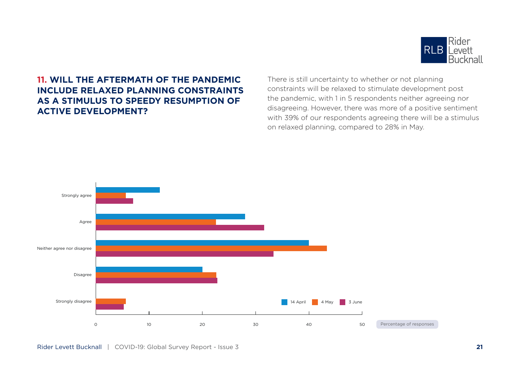

#### **11. WILL THE AFTERMATH OF THE PANDEMIC INCLUDE RELAXED PLANNING CONSTRAINTS AS A STIMULUS TO SPEEDY RESUMPTION OF ACTIVE DEVELOPMENT?**

There is still uncertainty to whether or not planning constraints will be relaxed to stimulate development post the pandemic, with 1 in 5 respondents neither agreeing nor disagreeing. However, there was more of a positive sentiment with 39% of our respondents agreeing there will be a stimulus on relaxed planning, compared to 28% in May.

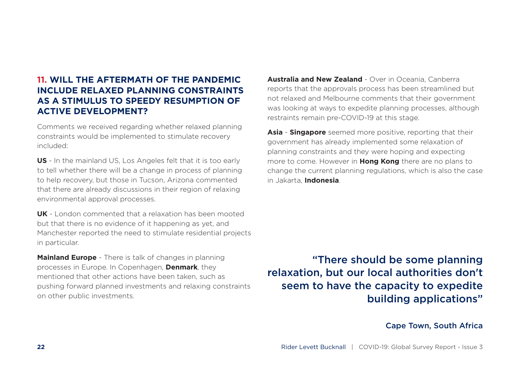#### **11. WILL THE AFTERMATH OF THE PANDEMIC INCLUDE RELAXED PLANNING CONSTRAINTS AS A STIMULUS TO SPEEDY RESUMPTION OF ACTIVE DEVELOPMENT?**

Comments we received regarding whether relaxed planning constraints would be implemented to stimulate recovery included:

**US** - In the mainland US, Los Angeles felt that it is too early to tell whether there will be a change in process of planning to help recovery, but those in Tucson, Arizona commented that there are already discussions in their region of relaxing environmental approval processes.

**UK** - London commented that a relaxation has been mooted but that there is no evidence of it happening as yet, and Manchester reported the need to stimulate residential projects in particular.

**Mainland Europe** - There is talk of changes in planning processes in Europe. In Copenhagen, **Denmark**, they mentioned that other actions have been taken, such as pushing forward planned investments and relaxing constraints on other public investments.

**Australia and New Zealand** - Over in Oceania, Canberra reports that the approvals process has been streamlined but not relaxed and Melbourne comments that their government was looking at ways to expedite planning processes, although restraints remain pre-COVID-19 at this stage.

**Asia** - **Singapore** seemed more positive, reporting that their government has already implemented some relaxation of planning constraints and they were hoping and expecting more to come. However in **Hong Kong** there are no plans to change the current planning regulations, which is also the case in Jakarta, **Indonesia**.

"There should be some planning relaxation, but our local authorities don't seem to have the capacity to expedite building applications"

Cape Town, South Africa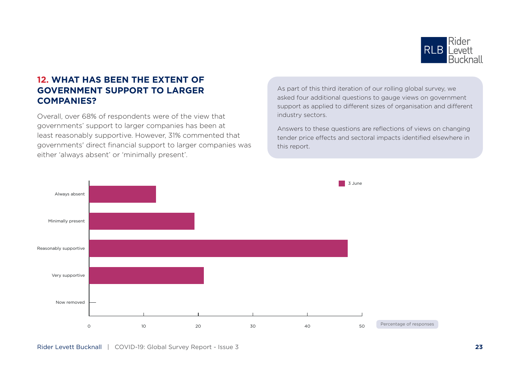

#### **12. WHAT HAS BEEN THE EXTENT OF GOVERNMENT SUPPORT TO LARGER COMPANIES?**

Overall, over 68% of respondents were of the view that governments' support to larger companies has been at least reasonably supportive. However, 31% commented that governments' direct financial support to larger companies was either 'always absent' or 'minimally present'.

As part of this third iteration of our rolling global survey, we asked four additional questions to gauge views on government support as applied to different sizes of organisation and different industry sectors.

Answers to these questions are reflections of views on changing tender price effects and sectoral impacts identified elsewhere in this report.

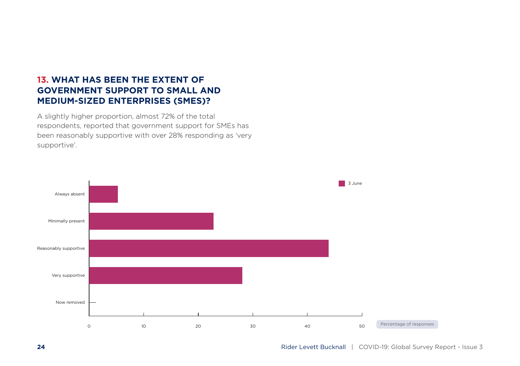#### **13. WHAT HAS BEEN THE EXTENT OF GOVERNMENT SUPPORT TO SMALL AND MEDIUM-SIZED ENTERPRISES (SMES)?**

A slightly higher proportion, almost 72% of the total respondents, reported that government support for SMEs has been reasonably supportive with over 28% responding as 'very supportive'.

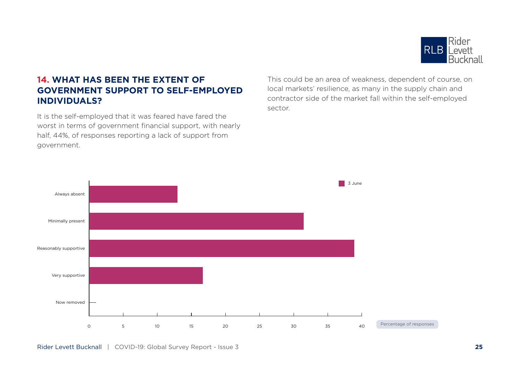

#### **14. WHAT HAS BEEN THE EXTENT OF GOVERNMENT SUPPORT TO SELF-EMPLOYED INDIVIDUALS?**

It is the self-employed that it was feared have fared the worst in terms of government financial support, with nearly half, 44%, of responses reporting a lack of support from government.

This could be an area of weakness, dependent of course, on local markets' resilience, as many in the supply chain and contractor side of the market fall within the self-employed sector.

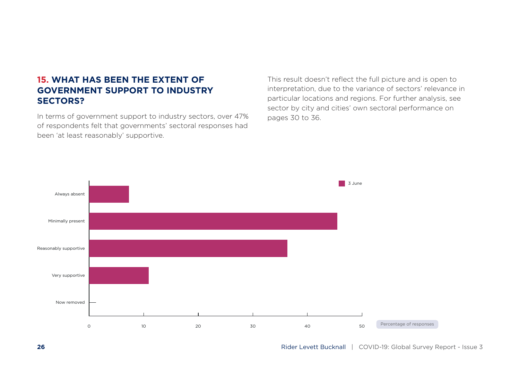#### **15. WHAT HAS BEEN THE EXTENT OF GOVERNMENT SUPPORT TO INDUSTRY SECTORS?**

In terms of government support to industry sectors, over 47% of respondents felt that governments' sectoral responses had been 'at least reasonably' supportive.

This result doesn't reflect the full picture and is open to interpretation, due to the variance of sectors' relevance in particular locations and regions. For further analysis, see sector by city and cities' own sectoral performance on pages 30 to 36.

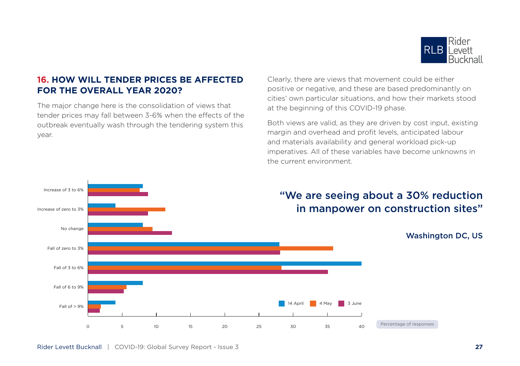

#### **16. HOW WILL TENDER PRICES BE AFFECTED FOR THE OVERALL YEAR 2020?**

The major change here is the consolidation of views that tender prices may fall between 3-6% when the effects of the outbreak eventually wash through the tendering system this year.

Clearly, there are views that movement could be either positive or negative, and these are based predominantly on cities' own particular situations, and how their markets stood at the beginning of this COVID-19 phase.

Both views are valid, as they are driven by cost input, existing margin and overhead and profit levels, anticipated labour and materials availability and general workload pick-up imperatives. All of these variables have become unknowns in the current environment.

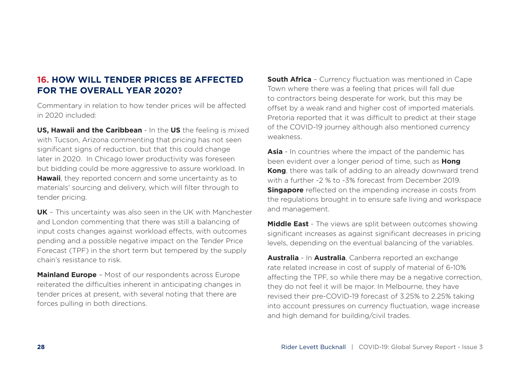#### **16. HOW WILL TENDER PRICES BE AFFECTED FOR THE OVERALL YEAR 2020?**

Commentary in relation to how tender prices will be affected in 2020 included:

**US, Hawaii and the Caribbean** - In the **US** the feeling is mixed with Tucson, Arizona commenting that pricing has not seen significant signs of reduction, but that this could change later in 2020. In Chicago lower productivity was foreseen but bidding could be more aggressive to assure workload. In **Hawaii**, they reported concern and some uncertainty as to materials' sourcing and delivery, which will filter through to tender pricing.

**UK** – This uncertainty was also seen in the UK with Manchester and London commenting that there was still a balancing of input costs changes against workload effects, with outcomes pending and a possible negative impact on the Tender Price Forecast (TPF) in the short term but tempered by the supply chain's resistance to risk.

**Mainland Europe** – Most of our respondents across Europe reiterated the difficulties inherent in anticipating changes in tender prices at present, with several noting that there are forces pulling in both directions.

**South Africa** - Currency fluctuation was mentioned in Cape Town where there was a feeling that prices will fall due to contractors being desperate for work, but this may be offset by a weak rand and higher cost of imported materials. Pretoria reported that it was difficult to predict at their stage of the COVID-19 journey although also mentioned currency weakness.

**Asia** - In countries where the impact of the pandemic has been evident over a longer period of time, such as **Hong Kong**, there was talk of adding to an already downward trend with a further -2 % to -3% forecast from December 2019. **Singapore** reflected on the impending increase in costs from the regulations brought in to ensure safe living and workspace and management.

**Middle East** - The views are split between outcomes showing significant increases as against significant decreases in pricing levels, depending on the eventual balancing of the variables.

**Australia** - In **Australia**, Canberra reported an exchange rate related increase in cost of supply of material of 6-10% affecting the TPF, so while there may be a negative correction, they do not feel it will be major. In Melbourne, they have revised their pre-COVID-19 forecast of 3.25% to 2.25% taking into account pressures on currency fluctuation, wage increase and high demand for building/civil trades.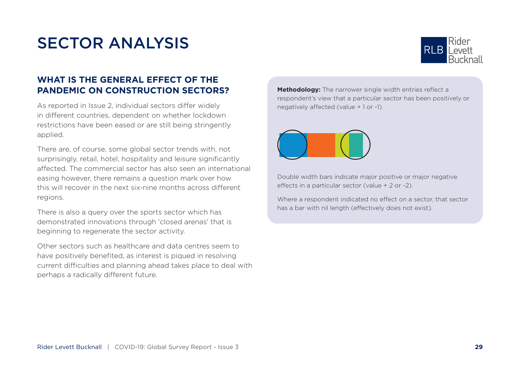## SECTOR ANALYSIS



#### **WHAT IS THE GENERAL EFFECT OF THE PANDEMIC ON CONSTRUCTION SECTORS?**

As reported in Issue 2, individual sectors differ widely in different countries, dependent on whether lockdown restrictions have been eased or are still being stringently applied.

There are, of course, some global sector trends with, not surprisingly, retail, hotel, hospitality and leisure significantly affected. The commercial sector has also seen an international easing however, there remains a question mark over how this will recover in the next six-nine months across different regions.

There is also a query over the sports sector which has demonstrated innovations through 'closed arenas' that is beginning to regenerate the sector activity.

Other sectors such as healthcare and data centres seem to have positively benefited, as interest is piqued in resolving current difficulties and planning ahead takes place to deal with perhaps a radically different future.

**Methodology:** The narrower single width entries reflect a respondent's view that a particular sector has been positively or negatively affected (value + 1 or -1).



Double width bars indicate major positive or major negative effects in a particular sector (value + 2 or -2).

Where a respondent indicated no effect on a sector, that sector has a bar with nil length (effectively does not exist).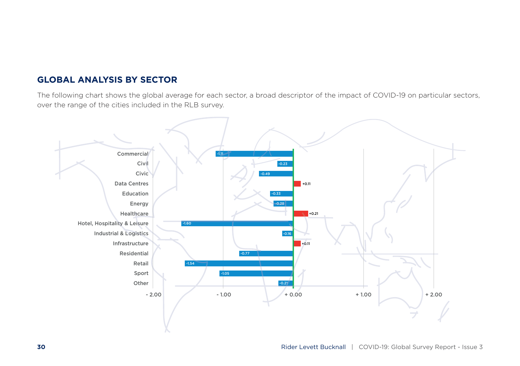#### **GLOBAL ANALYSIS BY SECTOR**

The following chart shows the global average for each sector, a broad descriptor of the impact of COVID-19 on particular sectors, over the range of the cities included in the RLB survey.

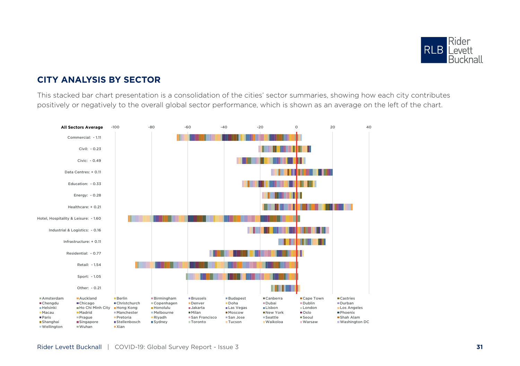

#### **CITY ANALYSIS BY SECTOR**

This stacked bar chart presentation is a consolidation of the cities' sector summaries, showing how each city contributes positively or negatively to the overall global sector performance, which is shown as an average on the left of the chart.

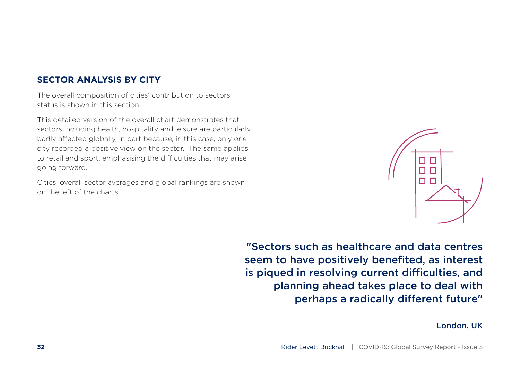#### **SECTOR ANALYSIS BY CITY**

The overall composition of cities' contribution to sectors' status is shown in this section.

This detailed version of the overall chart demonstrates that sectors including health, hospitality and leisure are particularly badly affected globally, in part because, in this case, only one city recorded a positive view on the sector. The same applies to retail and sport, emphasising the difficulties that may arise going forward.

Cities' overall sector averages and global rankings are shown on the left of the charts.



"Sectors such as healthcare and data centres seem to have positively benefited, as interest is piqued in resolving current difficulties, and planning ahead takes place to deal with perhaps a radically different future"

#### London, UK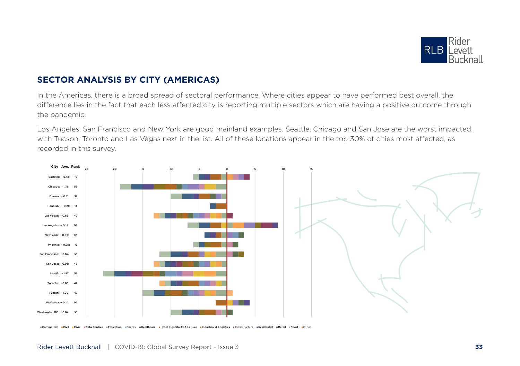

#### **SECTOR ANALYSIS BY CITY (AMERICAS)**

In the Americas, there is a broad spread of sectoral performance. Where cities appear to have performed best overall, the difference lies in the fact that each less affected city is reporting multiple sectors which are having a positive outcome through the pandemic.

Los Angeles, San Francisco and New York are good mainland examples. Seattle, Chicago and San Jose are the worst impacted, with Tucson, Toronto and Las Vegas next in the list. All of these locations appear in the top 30% of cities most affected, as recorded in this survey.



Civil ECivic #Data Centres #Education #Energy #Healthcare #Hotel, Hospitality & Leisure #Industrial & Logistics #Infrastructure #Residential #Retail #Sport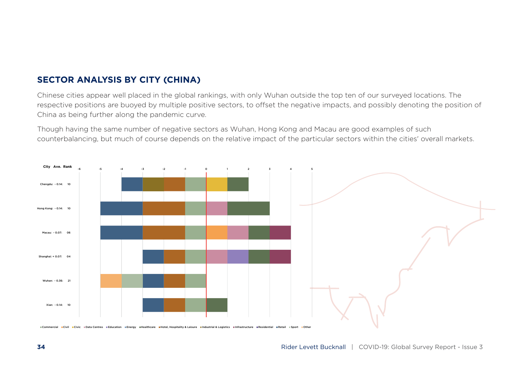#### **SECTOR ANALYSIS BY CITY (CHINA)**

Chinese cities appear well placed in the global rankings, with only Wuhan outside the top ten of our surveyed locations. The respective positions are buoyed by multiple positive sectors, to offset the negative impacts, and possibly denoting the position of China as being further along the pandemic curve.

Though having the same number of negative sectors as Wuhan, Hong Kong and Macau are good examples of such counterbalancing, but much of course depends on the relative impact of the particular sectors within the cities' overall markets.

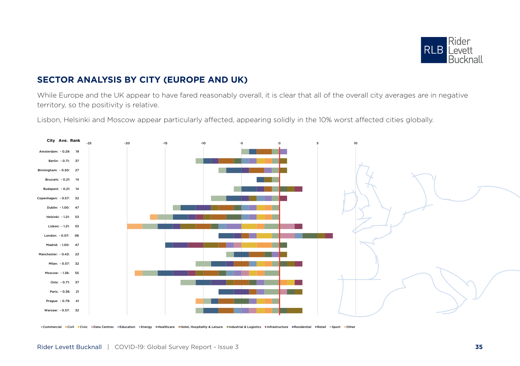

### **SECTOR ANALYSIS BY CITY (EUROPE AND UK)**

While Europe and the UK appear to have fared reasonably overall, it is clear that all of the overall city averages are in negative territory, so the positivity is relative.

Lisbon, Helsinki and Moscow appear particularly affected, appearing solidly in the 10% worst affected cities globally.



Commercial Civil Civic EData Centres EEducation EEnergy EHealthcare EHotel, Hospitality & Leisure EIndustrial & Logistics EInfrastructure EResidential ERetail ESport Cother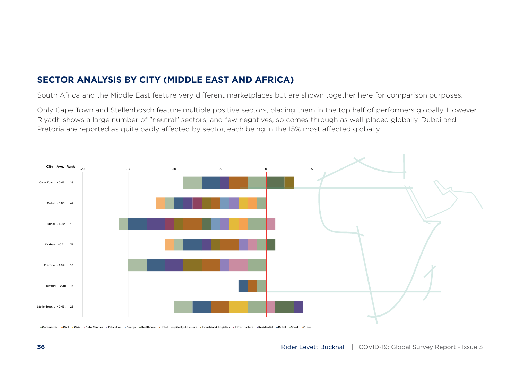#### **SECTOR ANALYSIS BY CITY (MIDDLE EAST AND AFRICA)**

South Africa and the Middle East feature very different marketplaces but are shown together here for comparison purposes.

Only Cape Town and Stellenbosch feature multiple positive sectors, placing them in the top half of performers globally. However, Riyadh shows a large number of "neutral" sectors, and few negatives, so comes through as well-placed globally. Dubai and Pretoria are reported as quite badly affected by sector, each being in the 15% most affected globally.



"Commercial =Civil =Civic "Data Centres "Education "Energy =Healthcare =Hotel, Hospitality & Leisure =Industrial & Logistics =Infrastructure =Residential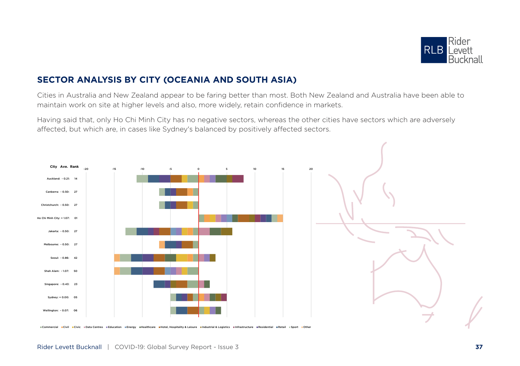

#### **SECTOR ANALYSIS BY CITY (OCEANIA AND SOUTH ASIA)**

Cities in Australia and New Zealand appear to be faring better than most. Both New Zealand and Australia have been able to maintain work on site at higher levels and also, more widely, retain confidence in markets.

Having said that, only Ho Chi Minh City has no negative sectors, whereas the other cities have sectors which are adversely affected, but which are, in cases like Sydney's balanced by positively affected sectors.



ECivil ECivic #Data Centres #Education #Energy #Healthcare #Hotel, Hospitality & Leisure #Industrial & Logistics #Infrastructure #Residential #Retail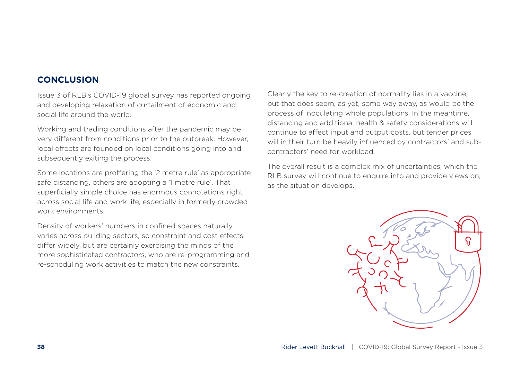#### **CONCLUSION**

Issue 3 of RLB's COVID-19 global survey has reported ongoing and developing relaxation of curtailment of economic and social life around the world.

Working and trading conditions after the pandemic may be very different from conditions prior to the outbreak. However, local effects are founded on local conditions going into and subsequently exiting the process.

Some locations are proffering the '2 metre rule' as appropriate safe distancing, others are adopting a '1 metre rule'. That superficially simple choice has enormous connotations right across social life and work life, especially in formerly crowded work environments.

Density of workers' numbers in confined spaces naturally varies across building sectors, so constraint and cost effects differ widely, but are certainly exercising the minds of the more sophisticated contractors, who are re-programming and re-scheduling work activities to match the new constraints.

Clearly the key to re-creation of normality lies in a vaccine, but that does seem, as yet, some way away, as would be the process of inoculating whole populations. In the meantime, distancing and additional health & safety considerations will continue to affect input and output costs, but tender prices will in their turn be heavily influenced by contractors' and subcontractors' need for workload.

The overall result is a complex mix of uncertainties, which the RLB survey will continue to enquire into and provide views on, as the situation develops.

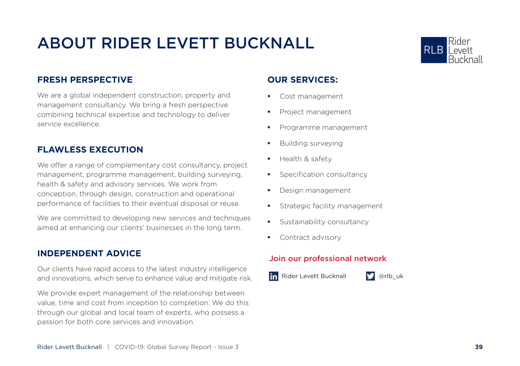# ABOUT RIDER LEVETT BUCKNALL



#### **FRESH PERSPECTIVE**

We are a global independent construction, property and management consultancy. We bring a fresh perspective combining technical expertise and technology to deliver service excellence.

#### **FLAWLESS EXECUTION**

We offer a range of complementary cost consultancy, project management, programme management, building surveying, health & safety and advisory services. We work from conception, through design, construction and operational performance of facilities to their eventual disposal or reuse.

We are committed to developing new services and techniques aimed at enhancing our clients' businesses in the long term.

#### **INDEPENDENT ADVICE**

Our clients have rapid access to the latest industry intelligence and innovations, which serve to enhance value and mitigate risk.

We provide expert management of the relationship between value, time and cost from inception to completion. We do this through our global and local team of experts, who possess a passion for both core services and innovation.

#### **OUR SERVICES:**

- **Cost management**
- **Project management**
- **Programme management**
- **Building surveying**
- $H$  Health & safety
- **Specification consultancy**
- **Design management**
- **Strategic facility management**
- **Sustainability consultancy**
- **Contract advisory**

#### Join our professional network

in Rider Levett Bucknall **D** @rlb\_uk